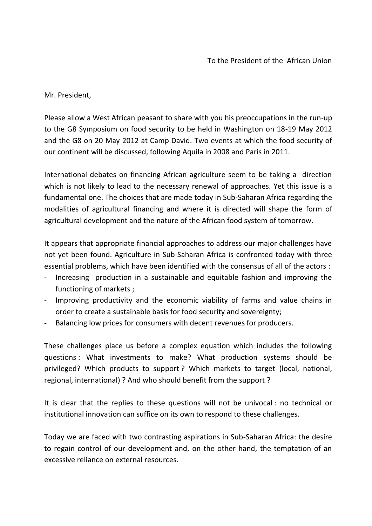Mr. President,

Please allow a West African peasant to share with you his preoccupations in the run-up to the G8 Symposium on food security to be held in Washington on 18-19 May 2012 and the G8 on 20 May 2012 at Camp David. Two events at which the food security of our continent will be discussed, following Aquila in 2008 and Paris in 2011.

International debates on financing African agriculture seem to be taking a direction which is not likely to lead to the necessary renewal of approaches. Yet this issue is a fundamental one. The choices that are made today in Sub-Saharan Africa regarding the modalities of agricultural financing and where it is directed will shape the form of agricultural development and the nature of the African food system of tomorrow.

It appears that appropriate financial approaches to address our major challenges have not yet been found. Agriculture in Sub-Saharan Africa is confronted today with three essential problems, which have been identified with the consensus of all of the actors :

- Increasing production in a sustainable and equitable fashion and improving the functioning of markets ;
- Improving productivity and the economic viability of farms and value chains in order to create a sustainable basis for food security and sovereignty;
- Balancing low prices for consumers with decent revenues for producers.

These challenges place us before a complex equation which includes the following questions : What investments to make? What production systems should be privileged? Which products to support ? Which markets to target (local, national, regional, international) ? And who should benefit from the support ?

It is clear that the replies to these questions will not be univocal : no technical or institutional innovation can suffice on its own to respond to these challenges.

Today we are faced with two contrasting aspirations in Sub-Saharan Africa: the desire to regain control of our development and, on the other hand, the temptation of an excessive reliance on external resources.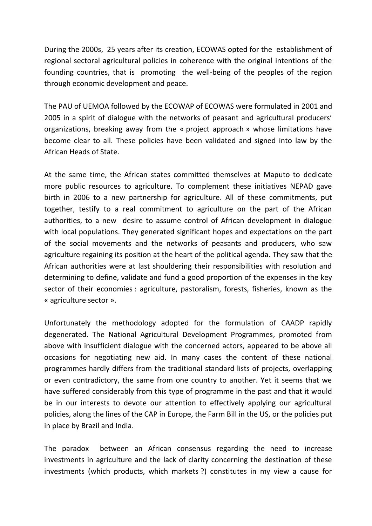During the 2000s, 25 years after its creation, ECOWAS opted for the establishment of regional sectoral agricultural policies in coherence with the original intentions of the founding countries, that is promoting the well-being of the peoples of the region through economic development and peace.

The PAU of UEMOA followed by the ECOWAP of ECOWAS were formulated in 2001 and 2005 in a spirit of dialogue with the networks of peasant and agricultural producers' organizations, breaking away from the « project approach » whose limitations have become clear to all. These policies have been validated and signed into law by the African Heads of State.

At the same time, the African states committed themselves at Maputo to dedicate more public resources to agriculture. To complement these initiatives NEPAD gave birth in 2006 to a new partnership for agriculture. All of these commitments, put together, testify to a real commitment to agriculture on the part of the African authorities, to a new desire to assume control of African development in dialogue with local populations. They generated significant hopes and expectations on the part of the social movements and the networks of peasants and producers, who saw agriculture regaining its position at the heart of the political agenda. They saw that the African authorities were at last shouldering their responsibilities with resolution and determining to define, validate and fund a good proportion of the expenses in the key sector of their economies : agriculture, pastoralism, forests, fisheries, known as the « agriculture sector ».

Unfortunately the methodology adopted for the formulation of CAADP rapidly degenerated. The National Agricultural Development Programmes, promoted from above with insufficient dialogue with the concerned actors, appeared to be above all occasions for negotiating new aid. In many cases the content of these national programmes hardly differs from the traditional standard lists of projects, overlapping or even contradictory, the same from one country to another. Yet it seems that we have suffered considerably from this type of programme in the past and that it would be in our interests to devote our attention to effectively applying our agricultural policies, along the lines of the CAP in Europe, the Farm Bill in the US, or the policies put in place by Brazil and India.

The paradox between an African consensus regarding the need to increase investments in agriculture and the lack of clarity concerning the destination of these investments (which products, which markets ?) constitutes in my view a cause for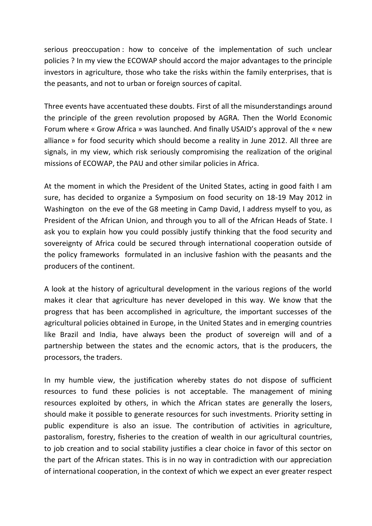serious preoccupation : how to conceive of the implementation of such unclear policies ? In my view the ECOWAP should accord the major advantages to the principle investors in agriculture, those who take the risks within the family enterprises, that is the peasants, and not to urban or foreign sources of capital.

Three events have accentuated these doubts. First of all the misunderstandings around the principle of the green revolution proposed by AGRA. Then the World Economic Forum where « Grow Africa » was launched. And finally USAID's approval of the « new alliance » for food security which should become a reality in June 2012. All three are signals, in my view, which risk seriously compromising the realization of the original missions of ECOWAP, the PAU and other similar policies in Africa.

At the moment in which the President of the United States, acting in good faith I am sure, has decided to organize a Symposium on food security on 18-19 May 2012 in Washington on the eve of the G8 meeting in Camp David, I address myself to you, as President of the African Union, and through you to all of the African Heads of State. I ask you to explain how you could possibly justify thinking that the food security and sovereignty of Africa could be secured through international cooperation outside of the policy frameworks formulated in an inclusive fashion with the peasants and the producers of the continent.

A look at the history of agricultural development in the various regions of the world makes it clear that agriculture has never developed in this way. We know that the progress that has been accomplished in agriculture, the important successes of the agricultural policies obtained in Europe, in the United States and in emerging countries like Brazil and India, have always been the product of sovereign will and of a partnership between the states and the ecnomic actors, that is the producers, the processors, the traders.

In my humble view, the justification whereby states do not dispose of sufficient resources to fund these policies is not acceptable. The management of mining resources exploited by others, in which the African states are generally the losers, should make it possible to generate resources for such investments. Priority setting in public expenditure is also an issue. The contribution of activities in agriculture, pastoralism, forestry, fisheries to the creation of wealth in our agricultural countries, to job creation and to social stability justifies a clear choice in favor of this sector on the part of the African states. This is in no way in contradiction with our appreciation of international cooperation, in the context of which we expect an ever greater respect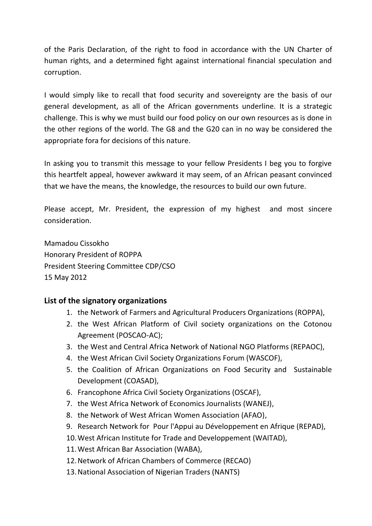of the Paris Declaration, of the right to food in accordance with the UN Charter of human rights, and a determined fight against international financial speculation and corruption.

I would simply like to recall that food security and sovereignty are the basis of our general development, as all of the African governments underline. It is a strategic challenge. This is why we must build our food policy on our own resources as is done in the other regions of the world. The G8 and the G20 can in no way be considered the appropriate fora for decisions of this nature.

In asking you to transmit this message to your fellow Presidents I beg you to forgive this heartfelt appeal, however awkward it may seem, of an African peasant convinced that we have the means, the knowledge, the resources to build our own future.

Please accept, Mr. President, the expression of my highest and most sincere consideration.

Mamadou Cissokho Honorary President of ROPPA President Steering Committee CDP/CSO 15 May 2012

## **List of the signatory organizations**

- 1. the Network of Farmers and Agricultural Producers Organizations (ROPPA),
- 2. the West African Platform of Civil society organizations on the Cotonou Agreement (POSCAO-AC);
- 3. the West and Central Africa Network of National NGO Platforms (REPAOC),
- 4. the West African Civil Society Organizations Forum (WASCOF),
- 5. the Coalition of African Organizations on Food Security and Sustainable Development (COASAD),
- 6. Francophone Africa Civil Society Organizations (OSCAF),
- 7. the West Africa Network of Economics Journalists (WANEJ),
- 8. the Network of West African Women Association (AFAO),
- 9. Research Network for Pour l'Appui au Développement en Afrique (REPAD),
- 10.West African Institute for Trade and Developpement (WAITAD),
- 11.West African Bar Association (WABA),
- 12.Network of African Chambers of Commerce (RECAO)
- 13.National Association of Nigerian Traders (NANTS)